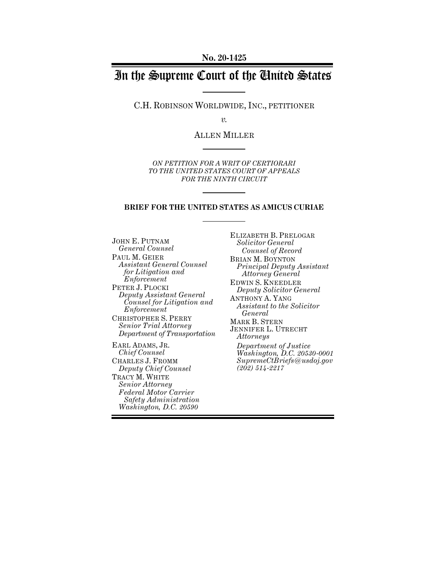# In the Supreme Court of the United States

C.H. ROBINSON WORLDWIDE, INC., PETITIONER

*v.*

ALLEN MILLER

*ON PETITION FOR A WRIT OF CERTIORARI TO THE UNITED STATES COURT OF APPEALS FOR THE NINTH CIRCUIT*

#### **BRIEF FOR THE UNITED STATES AS AMICUS CURIAE**

JOHN E. PUTNAM *General Counsel* PAUL M. GEIER *Assistant General Counsel for Litigation and Enforcement* PETER J. PLOCKI *Deputy Assistant General Counsel for Litigation and Enforcement* CHRISTOPHER S. PERRY *Senior Trial Attorney Department of Transportation* EARL ADAMS, JR. *Chief Counsel* CHARLES J. FROMM *Deputy Chief Counsel* TRACY M. WHITE

*Senior Attorney Federal Motor Carrier Safety Administration Washington, D.C. 20590*

ELIZABETH B. PRELOGAR *Solicitor General Counsel of Record* BRIAN M. BOYNTON *Principal Deputy Assistant Attorney General* EDWIN S. KNEEDLER *Deputy Solicitor General* ANTHONY A. YANG *Assistant to the Solicitor General* MARK B. STERN JENNIFER L. UTRECHT *Attorneys Department of Justice Washington, D.C. 20530-0001 SupremeCtBriefs@usdoj.gov (202) 514-2217*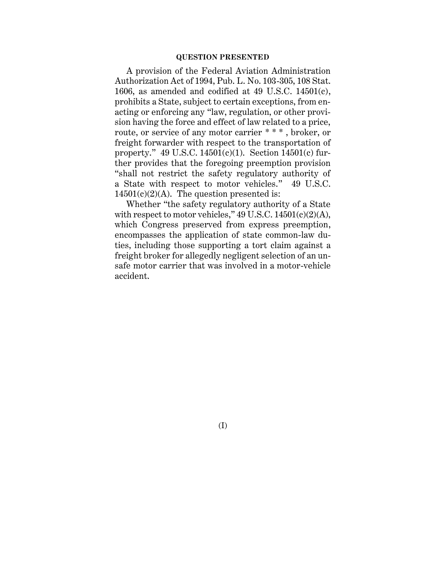#### **QUESTION PRESENTED**

A provision of the Federal Aviation Administration Authorization Act of 1994, Pub. L. No. 103-305, 108 Stat. 1606, as amended and codified at 49 U.S.C. 14501(c), prohibits a State, subject to certain exceptions, from enacting or enforcing any "law, regulation, or other provision having the force and effect of law related to a price, route, or service of any motor carrier \* \* \* , broker, or freight forwarder with respect to the transportation of property." 49 U.S.C. 14501(c)(1). Section 14501(c) further provides that the foregoing preemption provision "shall not restrict the safety regulatory authority of a State with respect to motor vehicles." 49 U.S.C.  $14501(c)(2)(A)$ . The question presented is:

Whether "the safety regulatory authority of a State with respect to motor vehicles," 49 U.S.C. 14501(c)(2)(A), which Congress preserved from express preemption, encompasses the application of state common-law duties, including those supporting a tort claim against a freight broker for allegedly negligent selection of an unsafe motor carrier that was involved in a motor-vehicle accident.

(I)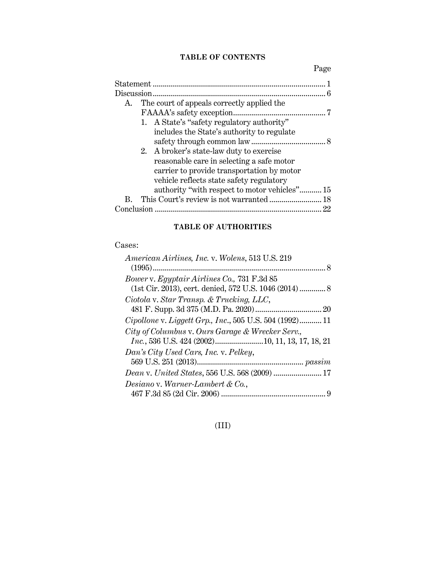# **TABLE OF CONTENTS**

Page

|                                                  | 6  |
|--------------------------------------------------|----|
| The court of appeals correctly applied the<br>A. |    |
|                                                  |    |
| 1. A State's "safety regulatory authority"       |    |
| includes the State's authority to regulate       |    |
|                                                  |    |
| 2. A broker's state-law duty to exercise         |    |
| reasonable care in selecting a safe motor        |    |
| carrier to provide transportation by motor       |    |
| vehicle reflects state safety regulatory         |    |
| authority "with respect to motor vehicles" 15    |    |
| В.                                               |    |
|                                                  | 22 |

# **TABLE OF AUTHORITIES**

## Cases:

(III)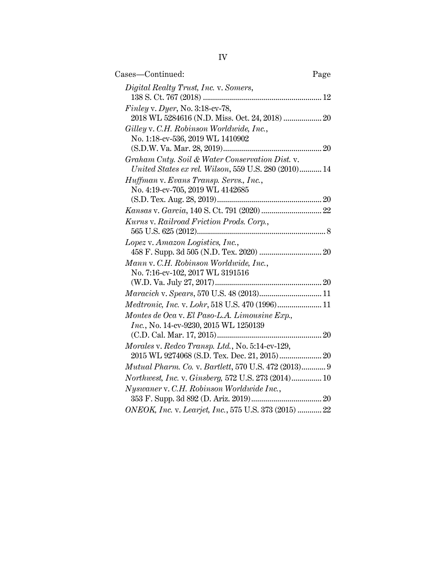| Cases—Continued:                                                                                        | Page |
|---------------------------------------------------------------------------------------------------------|------|
| Digital Realty Trust, Inc. v. Somers,                                                                   |      |
| Finley v. Dyer, No. 3:18-cv-78,                                                                         |      |
| 2018 WL 5284616 (N.D. Miss. Oct. 24, 2018)  20<br>Gilley v. C.H. Robinson Worldwide, Inc.,              |      |
| No. 1:18-cv-536, 2019 WL 1410902                                                                        |      |
|                                                                                                         |      |
| Graham Cnty. Soil & Water Conservation Dist. v.<br>United States ex rel. Wilson, 559 U.S. 280 (2010) 14 |      |
| Huffman v. Evans Transp. Servs., Inc.,<br>No. 4:19-cv-705, 2019 WL 4142685                              |      |
|                                                                                                         |      |
|                                                                                                         |      |
| Kurns v. Railroad Friction Prods. Corp.,                                                                |      |
| Lopez v. Amazon Logistics, Inc.,                                                                        |      |
| Mann v. C.H. Robinson Worldwide, Inc.,                                                                  |      |
| No. 7:16-cv-102, 2017 WL 3191516                                                                        |      |
| Maracich v. Spears, 570 U.S. 48 (2013) 11                                                               |      |
| Medtronic, Inc. v. Lohr, 518 U.S. 470 (1996) 11                                                         |      |
| Montes de Oca v. El Paso-L.A. Limousine Exp.,                                                           |      |
| Inc., No. 14-cv-9230, 2015 WL 1250139                                                                   |      |
| Morales v. Redco Transp. Ltd., No. 5:14-cv-129,                                                         |      |
| Mutual Pharm. Co. v. Bartlett, 570 U.S. 472 (2013) 9                                                    |      |
| Northwest, Inc. v. Ginsberg, 572 U.S. 273 (2014) 10                                                     |      |
| Nyswaner v. C.H. Robinson Worldwide Inc.,                                                               |      |
|                                                                                                         |      |
| ONEOK, Inc. v. Learjet, Inc., 575 U.S. 373 (2015)  22                                                   |      |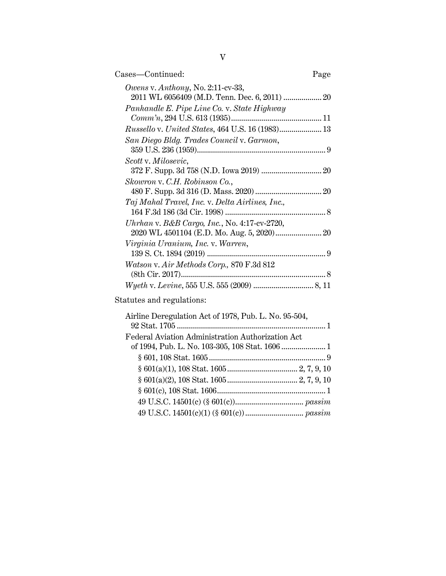| Cases—Continued:                                                                   | Page |
|------------------------------------------------------------------------------------|------|
| Owens v. Anthony, No. 2:11-cv-33,<br>2011 WL 6056409 (M.D. Tenn. Dec. 6, 2011)  20 |      |
| Panhandle E. Pipe Line Co. v. State Highway                                        |      |
| Russello v. United States, 464 U.S. 16 (1983) 13                                   |      |
| San Diego Bldg. Trades Council v. Garmon,                                          |      |
| Scott v. Milosevic,                                                                |      |
| Skowron v. C.H. Robinson Co.,                                                      |      |
| Taj Mahal Travel, Inc. v. Delta Airlines, Inc.,                                    |      |
| Uhrhan v. B&B Cargo, Inc., No. 4:17-cv-2720,                                       |      |
| Virginia Uranium, Inc. v. Warren,                                                  |      |
| Watson v. Air Methods Corp., 870 F.3d 812                                          |      |
|                                                                                    |      |

Statutes and regulations:

| Airline Deregulation Act of 1978, Pub. L. No. 95-504, |  |
|-------------------------------------------------------|--|
|                                                       |  |
| Federal Aviation Administration Authorization Act     |  |
|                                                       |  |
|                                                       |  |
|                                                       |  |
|                                                       |  |
|                                                       |  |
|                                                       |  |
|                                                       |  |
|                                                       |  |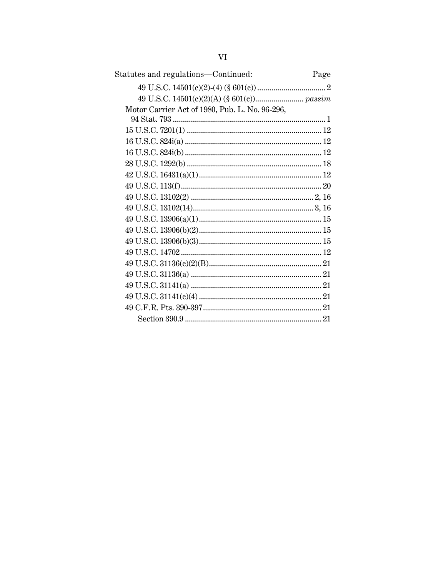| Statutes and regulations-Continued:            | Page |
|------------------------------------------------|------|
|                                                |      |
|                                                |      |
| Motor Carrier Act of 1980, Pub. L. No. 96-296, |      |
|                                                |      |
|                                                |      |
|                                                |      |
|                                                |      |
|                                                |      |
|                                                |      |
|                                                |      |
|                                                |      |
|                                                |      |
|                                                |      |
|                                                |      |
|                                                |      |
|                                                |      |
|                                                |      |
|                                                |      |
|                                                |      |
|                                                |      |
|                                                |      |
|                                                |      |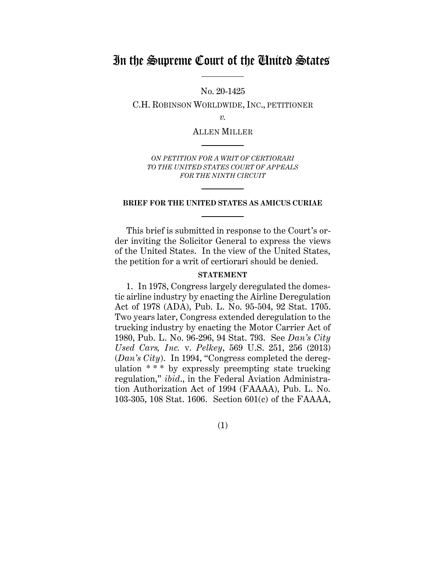# In the Supreme Court of the United States

No. 20-1425

C.H. ROBINSON WORLDWIDE, INC., PETITIONER

*v.*

ALLEN MILLER

*ON PETITION FOR A WRIT OF CERTIORARI TO THE UNITED STATES COURT OF APPEALS FOR THE NINTH CIRCUIT*

#### **BRIEF FOR THE UNITED STATES AS AMICUS CURIAE**

This brief is submitted in response to the Court's order inviting the Solicitor General to express the views of the United States. In the view of the United States, the petition for a writ of certiorari should be denied.

#### **STATEMENT**

<span id="page-6-0"></span>1. In 1978, Congress largely deregulated the domestic airline industry by enacting the Airline Deregulation Act of 1978 (ADA), Pub. L. No. 95-504, 92 Stat. 1705. Two years later, Congress extended deregulation to the trucking industry by enacting the Motor Carrier Act of 1980, Pub. L. No. 96-296, 94 Stat. 793. See *Dan's City Used Cars, Inc.* v. *Pelkey*, 569 U.S. 251, 256 (2013) (*Dan's City*). In 1994, "Congress completed the deregulation \* \* \* by expressly preempting state trucking regulation," *ibid*., in the Federal Aviation Administration Authorization Act of 1994 (FAAAA), Pub. L. No. 103-305, 108 Stat. 1606. Section 601(c) of the FAAAA,

(1)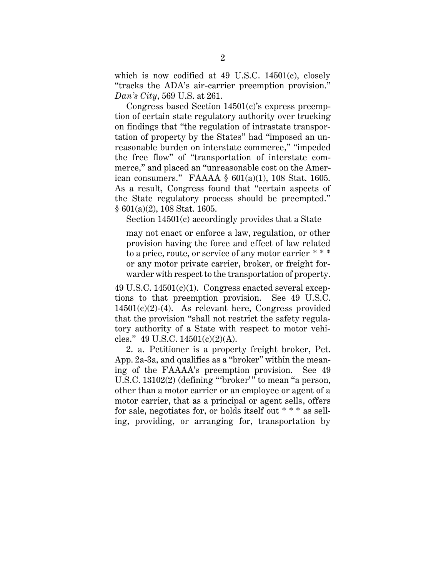which is now codified at 49 U.S.C. 14501(c), closely "tracks the ADA's air-carrier preemption provision." *Dan's City*, 569 U.S. at 261.

Congress based Section 14501(c)'s express preemption of certain state regulatory authority over trucking on findings that "the regulation of intrastate transportation of property by the States" had "imposed an unreasonable burden on interstate commerce," "impeded the free flow" of "transportation of interstate commerce," and placed an "unreasonable cost on the American consumers." FAAAA § 601(a)(1), 108 Stat. 1605. As a result, Congress found that "certain aspects of the State regulatory process should be preempted." § 601(a)(2), 108 Stat. 1605.

Section 14501(c) accordingly provides that a State

may not enact or enforce a law, regulation, or other provision having the force and effect of law related to a price, route, or service of any motor carrier \* \* \* or any motor private carrier, broker, or freight forwarder with respect to the transportation of property.

49 U.S.C. 14501(c)(1). Congress enacted several exceptions to that preemption provision. See 49 U.S.C.  $14501(c)(2)-(4)$ . As relevant here, Congress provided that the provision "shall not restrict the safety regulatory authority of a State with respect to motor vehicles." 49 U.S.C.  $14501(c)(2)(A)$ .

2. a. Petitioner is a property freight broker, Pet. App. 2a-3a, and qualifies as a "broker" within the meaning of the FAAAA's preemption provision. See 49 U.S.C. 13102(2) (defining "'broker'" to mean "a person, other than a motor carrier or an employee or agent of a motor carrier, that as a principal or agent sells, offers for sale, negotiates for, or holds itself out \* \* \* as selling, providing, or arranging for, transportation by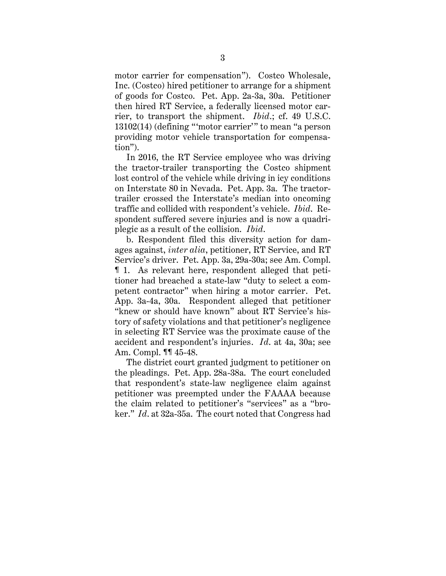motor carrier for compensation"). Costco Wholesale, Inc. (Costco) hired petitioner to arrange for a shipment of goods for Costco. Pet. App. 2a-3a, 30a. Petitioner then hired RT Service, a federally licensed motor carrier, to transport the shipment. *Ibid*.; cf. 49 U.S.C. 13102(14) (defining "'motor carrier'" to mean "a person providing motor vehicle transportation for compensation").

In 2016, the RT Service employee who was driving the tractor-trailer transporting the Costco shipment lost control of the vehicle while driving in icy conditions on Interstate 80 in Nevada. Pet. App. 3a. The tractortrailer crossed the Interstate's median into oncoming traffic and collided with respondent's vehicle. *Ibid*. Respondent suffered severe injuries and is now a quadriplegic as a result of the collision. *Ibid*.

b. Respondent filed this diversity action for damages against, *inter alia*, petitioner, RT Service, and RT Service's driver. Pet. App. 3a, 29a-30a; see Am. Compl. ¶ 1. As relevant here, respondent alleged that petitioner had breached a state-law "duty to select a competent contractor" when hiring a motor carrier. Pet. App. 3a-4a, 30a. Respondent alleged that petitioner "knew or should have known" about RT Service's history of safety violations and that petitioner's negligence in selecting RT Service was the proximate cause of the accident and respondent's injuries. *Id*. at 4a, 30a; see Am. Compl. ¶¶ 45-48.

The district court granted judgment to petitioner on the pleadings. Pet. App. 28a-38a. The court concluded that respondent's state-law negligence claim against petitioner was preempted under the FAAAA because the claim related to petitioner's "services" as a "broker." *Id*. at 32a-35a. The court noted that Congress had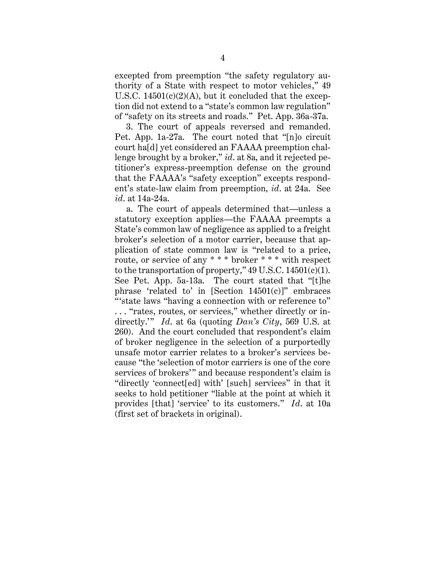excepted from preemption "the safety regulatory authority of a State with respect to motor vehicles," 49 U.S.C.  $14501(c)(2)(A)$ , but it concluded that the exception did not extend to a "state's common law regulation" of "safety on its streets and roads." Pet. App. 36a-37a.

3. The court of appeals reversed and remanded. Pet. App. 1a-27a. The court noted that "[n]o circuit court ha[d] yet considered an FAAAA preemption challenge brought by a broker," *id*. at 8a, and it rejected petitioner's express-preemption defense on the ground that the FAAAA's "safety exception" excepts respondent's state-law claim from preemption, *id*. at 24a. See *id*. at 14a-24a.

a. The court of appeals determined that—unless a statutory exception applies—the FAAAA preempts a State's common law of negligence as applied to a freight broker's selection of a motor carrier, because that application of state common law is "related to a price, route, or service of any \* \* \* broker \* \* \* with respect to the transportation of property,"  $49$  U.S.C.  $14501(c)(1)$ . See Pet. App. 5a-13a. The court stated that "[t]he phrase 'related to' in  $[Section 14501(c)]$ " embraces "'state laws "having a connection with or reference to"

. . . "rates, routes, or services," whether directly or indirectly.'" *Id*. at 6a (quoting *Dan's City*, 569 U.S. at 260). And the court concluded that respondent's claim of broker negligence in the selection of a purportedly unsafe motor carrier relates to a broker's services because "the 'selection of motor carriers is one of the core services of brokers'" and because respondent's claim is "directly 'connect[ed] with' [such] services" in that it seeks to hold petitioner "liable at the point at which it provides [that] 'service' to its customers." *Id*. at 10a (first set of brackets in original).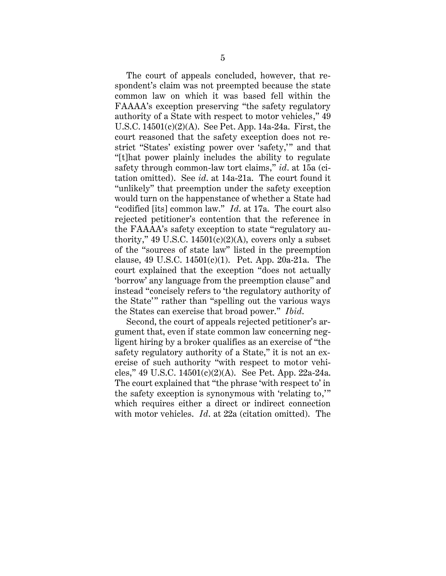The court of appeals concluded, however, that respondent's claim was not preempted because the state common law on which it was based fell within the FAAAA's exception preserving "the safety regulatory authority of a State with respect to motor vehicles," 49 U.S.C. 14501(c)(2)(A). See Pet. App. 14a-24a. First, the court reasoned that the safety exception does not restrict "States' existing power over 'safety,'" and that "[t]hat power plainly includes the ability to regulate safety through common-law tort claims," *id*. at 15a (citation omitted). See *id*. at 14a-21a. The court found it "unlikely" that preemption under the safety exception would turn on the happenstance of whether a State had "codified [its] common law." *Id*. at 17a. The court also rejected petitioner's contention that the reference in the FAAAA's safety exception to state "regulatory authority," 49 U.S.C. 14501 $(c)(2)(A)$ , covers only a subset of the "sources of state law" listed in the preemption clause, 49 U.S.C. 14501(c)(1). Pet. App. 20a-21a. The court explained that the exception "does not actually 'borrow' any language from the preemption clause" and instead "concisely refers to 'the regulatory authority of the State'" rather than "spelling out the various ways the States can exercise that broad power." *Ibid*.

Second, the court of appeals rejected petitioner's argument that, even if state common law concerning negligent hiring by a broker qualifies as an exercise of "the safety regulatory authority of a State," it is not an exercise of such authority "with respect to motor vehicles," 49 U.S.C. 14501(c)(2)(A). See Pet. App. 22a-24a. The court explained that "the phrase 'with respect to' in the safety exception is synonymous with 'relating to,'" which requires either a direct or indirect connection with motor vehicles. *Id*. at 22a (citation omitted). The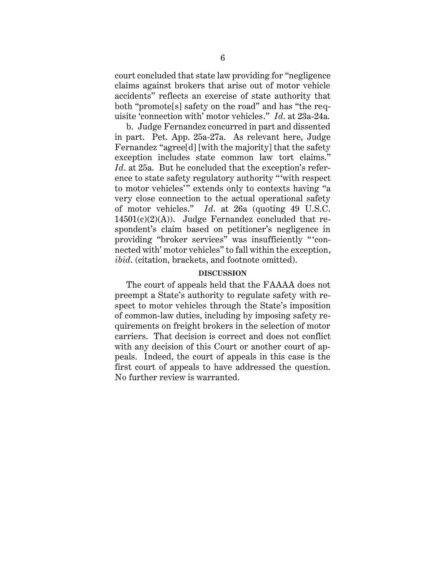court concluded that state law providing for "negligence claims against brokers that arise out of motor vehicle accidents" reflects an exercise of state authority that both "promote[s] safety on the road" and has "the requisite 'connection with' motor vehicles." *Id*. at 23a-24a.

b. Judge Fernandez concurred in part and dissented in part. Pet. App. 25a-27a. As relevant here, Judge Fernandez "agree[d] [with the majority] that the safety exception includes state common law tort claims." *Id*. at 25a. But he concluded that the exception's reference to state safety regulatory authority "'with respect to motor vehicles'" extends only to contexts having "a very close connection to the actual operational safety of motor vehicles." *Id*. at 26a (quoting 49 U.S.C.  $14501(c)(2)(A)$ . Judge Fernandez concluded that respondent's claim based on petitioner's negligence in providing "broker services" was insufficiently " 'connected with' motor vehicles" to fall within the exception, *ibid*. (citation, brackets, and footnote omitted).

#### **DISCUSSION**

<span id="page-11-0"></span>The court of appeals held that the FAAAA does not preempt a State's authority to regulate safety with respect to motor vehicles through the State's imposition of common-law duties, including by imposing safety requirements on freight brokers in the selection of motor carriers. That decision is correct and does not conflict with any decision of this Court or another court of appeals. Indeed, the court of appeals in this case is the first court of appeals to have addressed the question. No further review is warranted.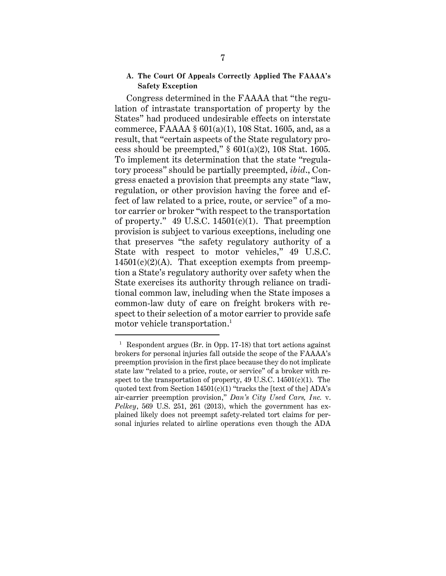### <span id="page-12-0"></span>**A. The Court Of Appeals Correctly Applied The FAAAA's Safety Exception**

Congress determined in the FAAAA that "the regulation of intrastate transportation of property by the States" had produced undesirable effects on interstate commerce, FAAAA §  $601(a)(1)$ , 108 Stat. 1605, and, as a result, that "certain aspects of the State regulatory process should be preempted,"  $§ 601(a)(2)$ , 108 Stat. 1605. To implement its determination that the state "regulatory process" should be partially preempted, *ibid*., Congress enacted a provision that preempts any state "law, regulation, or other provision having the force and effect of law related to a price, route, or service" of a motor carrier or broker "with respect to the transportation of property." 49 U.S.C. 14501 $(c)(1)$ . That preemption provision is subject to various exceptions, including one that preserves "the safety regulatory authority of a State with respect to motor vehicles," 49 U.S.C.  $14501(c)(2)(A)$ . That exception exempts from preemption a State's regulatory authority over safety when the State exercises its authority through reliance on traditional common law, including when the State imposes a common-law duty of care on freight brokers with respect to their selection of a motor carrier to provide safe motor vehicle transportation. 1

 $^{\rm 1}$  Respondent argues (Br. in Opp. 17-18) that tort actions against brokers for personal injuries fall outside the scope of the FAAAA's preemption provision in the first place because they do not implicate state law "related to a price, route, or service" of a broker with respect to the transportation of property,  $49 \text{ U.S.C. } 14501 \text{ (c)}(1)$ . The quoted text from Section  $14501(c)(1)$  "tracks the [text of the] ADA's air-carrier preemption provision," *Dan's City Used Cars, Inc.* v. *Pelkey*, 569 U.S. 251, 261 (2013), which the government has explained likely does not preempt safety-related tort claims for personal injuries related to airline operations even though the ADA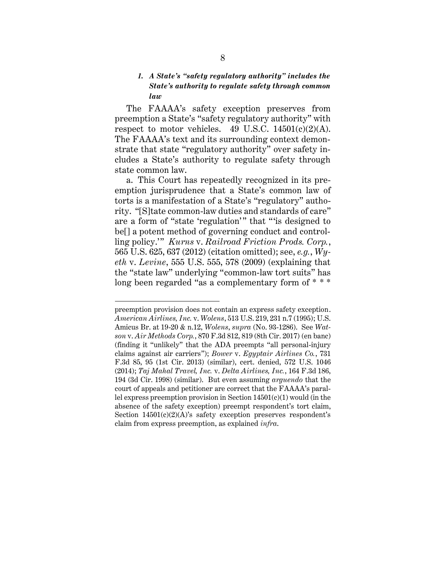## <span id="page-13-0"></span>*1. A State's "safety regulatory authority" includes the State's authority to regulate safety through common law*

The FAAAA's safety exception preserves from preemption a State's "safety regulatory authority" with respect to motor vehicles. 49 U.S.C.  $14501(c)(2)(A)$ . The FAAAA's text and its surrounding context demonstrate that state "regulatory authority" over safety includes a State's authority to regulate safety through state common law.

a. This Court has repeatedly recognized in its preemption jurisprudence that a State's common law of torts is a manifestation of a State's "regulatory" authority. "[S]tate common-law duties and standards of care" are a form of "state 'regulation'" that "'is designed to be[] a potent method of governing conduct and controlling policy.'" *Kurns* v. *Railroad Friction Prods. Corp.*, 565 U.S. 625, 637 (2012) (citation omitted); see, *e.g.*, *Wyeth* v. *Levine*, 555 U.S. 555, 578 (2009) (explaining that the "state law" underlying "common-law tort suits" has long been regarded "as a complementary form of \* \* \*

preemption provision does not contain an express safety exception. *American Airlines, Inc.* v. *Wolens*, 513 U.S. 219, 231 n.7 (1995); U.S. Amicus Br. at 19-20 & n.12, *Wolens*, *supra* (No. 93-1286). See *Watson* v. *Air Methods Corp.*, 870 F.3d 812, 819 (8th Cir. 2017) (en banc) (finding it "unlikely" that the ADA preempts "all personal-injury claims against air carriers"); *Bower* v. *Egyptair Airlines Co.*, 731 F.3d 85, 95 (1st Cir. 2013) (similar), cert. denied, 572 U.S. 1046 (2014); *Taj Mahal Travel, Inc.* v. *Delta Airlines, Inc.*, 164 F.3d 186, 194 (3d Cir. 1998) (similar). But even assuming *arguendo* that the court of appeals and petitioner are correct that the FAAAA's parallel express preemption provision in Section 14501(c)(1) would (in the absence of the safety exception) preempt respondent's tort claim, Section  $14501(c)(2)(A)$ 's safety exception preserves respondent's claim from express preemption, as explained *infra*.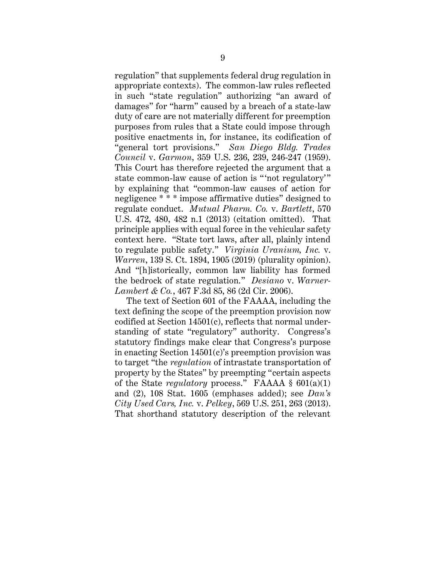regulation" that supplements federal drug regulation in appropriate contexts). The common-law rules reflected in such "state regulation" authorizing "an award of damages" for "harm" caused by a breach of a state-law duty of care are not materially different for preemption purposes from rules that a State could impose through positive enactments in, for instance, its codification of "general tort provisions." *San Diego Bldg. Trades Council* v. *Garmon*, 359 U.S. 236, 239, 246-247 (1959). This Court has therefore rejected the argument that a state common-law cause of action is "not regulatory" by explaining that "common-law causes of action for negligence \* \* \* impose affirmative duties" designed to regulate conduct. *Mutual Pharm. Co.* v. *Bartlett*, 570 U.S. 472, 480, 482 n.1 (2013) (citation omitted). That principle applies with equal force in the vehicular safety context here. "State tort laws, after all, plainly intend to regulate public safety." *Virginia Uranium, Inc.* v. *Warren*, 139 S. Ct. 1894, 1905 (2019) (plurality opinion). And "[h]istorically, common law liability has formed the bedrock of state regulation." *Desiano* v. *Warner-Lambert & Co.*, 467 F.3d 85, 86 (2d Cir. 2006).

The text of Section 601 of the FAAAA, including the text defining the scope of the preemption provision now codified at Section 14501(c), reflects that normal understanding of state "regulatory" authority. Congress's statutory findings make clear that Congress's purpose in enacting Section 14501(c)'s preemption provision was to target "the *regulation* of intrastate transportation of property by the States" by preempting "certain aspects of the State *regulatory* process." FAAAA § 601(a)(1) and (2), 108 Stat. 1605 (emphases added); see *Dan's City Used Cars, Inc.* v. *Pelkey*, 569 U.S. 251, 263 (2013). That shorthand statutory description of the relevant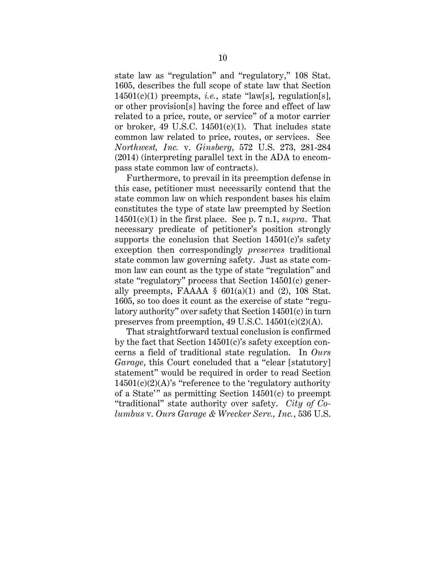state law as "regulation" and "regulatory," 108 Stat. 1605, describes the full scope of state law that Section 14501(c)(1) preempts, *i.e.*, state "law[s], regulation[s], or other provision[s] having the force and effect of law related to a price, route, or service" of a motor carrier or broker, 49 U.S.C.  $14501(c)(1)$ . That includes state common law related to price, routes, or services. See *Northwest, Inc.* v. *Ginsberg*, 572 U.S. 273, 281-284 (2014) (interpreting parallel text in the ADA to encompass state common law of contracts).

Furthermore, to prevail in its preemption defense in this case, petitioner must necessarily contend that the state common law on which respondent bases his claim constitutes the type of state law preempted by Section 14501(c)(1) in the first place. See p. 7 n.1, *supra*. That necessary predicate of petitioner's position strongly supports the conclusion that Section  $14501(c)$ 's safety exception then correspondingly *preserves* traditional state common law governing safety. Just as state common law can count as the type of state "regulation" and state "regulatory" process that Section 14501(c) generally preempts, FAAAA  $\S$  601(a)(1) and (2), 108 Stat. 1605, so too does it count as the exercise of state "regulatory authority" over safety that Section 14501(c) in turn preserves from preemption, 49 U.S.C.  $14501(c)(2)(A)$ .

That straightforward textual conclusion is confirmed by the fact that Section 14501(c)'s safety exception concerns a field of traditional state regulation. In *Ours Garage*, this Court concluded that a "clear [statutory] statement" would be required in order to read Section  $14501(c)(2)(A)$ 's "reference to the 'regulatory authority of a State'" as permitting Section 14501(c) to preempt "traditional" state authority over safety. *City of Columbus* v. *Ours Garage & Wrecker Serv., Inc.*, 536 U.S.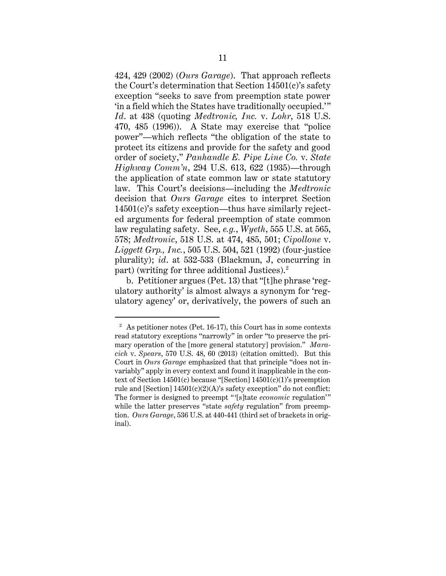424, 429 (2002) (*Ours Garage*). That approach reflects the Court's determination that Section 14501(c)'s safety exception "seeks to save from preemption state power 'in a field which the States have traditionally occupied.'" *Id*. at 438 (quoting *Medtronic, Inc.* v. *Lohr*, 518 U.S. 470, 485 (1996)). A State may exercise that "police power"—which reflects "the obligation of the state to protect its citizens and provide for the safety and good order of society," *Panhandle E. Pipe Line Co.* v. *State Highway Comm'n*, 294 U.S. 613, 622 (1935)—through the application of state common law or state statutory law. This Court's decisions—including the *Medtronic* decision that *Ours Garage* cites to interpret Section 14501(c)'s safety exception—thus have similarly rejected arguments for federal preemption of state common law regulating safety. See, *e.g.*, *Wyeth*, 555 U.S. at 565, 578; *Medtronic*, 518 U.S. at 474, 485, 501; *Cipollone* v. *Liggett Grp., Inc.*, 505 U.S. 504, 521 (1992) (four-justice plurality); *id*. at 532-533 (Blackmun, J, concurring in part) (writing for three additional Justices).<sup>2</sup>

b. Petitioner argues (Pet. 13) that "[t]he phrase 'regulatory authority' is almost always a synonym for 'regulatory agency' or, derivatively, the powers of such an

 $2\text{ A}s$  petitioner notes (Pet. 16-17), this Court has in some contexts read statutory exceptions "narrowly" in order "to preserve the primary operation of the [more general statutory] provision." *Maracich* v. *Spears*, 570 U.S. 48, 60 (2013) (citation omitted). But this Court in *Ours Garage* emphasized that that principle "does not invariably" apply in every context and found it inapplicable in the context of Section 14501(c) because "[Section] 14501(c)(1)'s preemption rule and [Section]  $14501(c)(2)(A)$ 's safety exception" do not conflict: The former is designed to preempt " '[s]tate *economic* regulation'" while the latter preserves "state *safety* regulation" from preemption. *Ours Garage*, 536 U.S. at 440-441 (third set of brackets in original).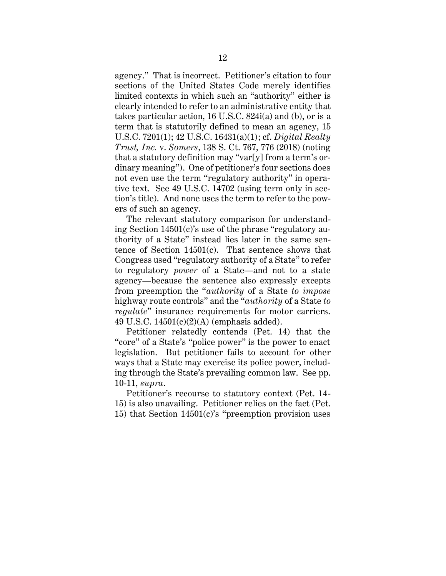agency." That is incorrect. Petitioner's citation to four sections of the United States Code merely identifies limited contexts in which such an "authority" either is clearly intended to refer to an administrative entity that takes particular action, 16 U.S.C. 824i(a) and (b), or is a term that is statutorily defined to mean an agency, 15 U.S.C. 7201(1); 42 U.S.C. 16431(a)(1); cf. *Digital Realty Trust, Inc.* v. *Somers*, 138 S. Ct. 767, 776 (2018) (noting that a statutory definition may "var[y] from a term's ordinary meaning"). One of petitioner's four sections does not even use the term "regulatory authority" in operative text. See 49 U.S.C. 14702 (using term only in section's title). And none uses the term to refer to the powers of such an agency.

The relevant statutory comparison for understanding Section 14501(c)'s use of the phrase "regulatory authority of a State" instead lies later in the same sentence of Section 14501(c). That sentence shows that Congress used "regulatory authority of a State" to refer to regulatory *power* of a State—and not to a state agency—because the sentence also expressly excepts from preemption the "*authority* of a State *to impose* highway route controls" and the "*authority* of a State *to regulate*" insurance requirements for motor carriers. 49 U.S.C. 14501(c)(2)(A) (emphasis added).

Petitioner relatedly contends (Pet. 14) that the "core" of a State's "police power" is the power to enact legislation. But petitioner fails to account for other ways that a State may exercise its police power, including through the State's prevailing common law. See pp. 10-11, *supra*.

Petitioner's recourse to statutory context (Pet. 14- 15) is also unavailing. Petitioner relies on the fact (Pet. 15) that Section  $14501(c)$ 's "preemption provision uses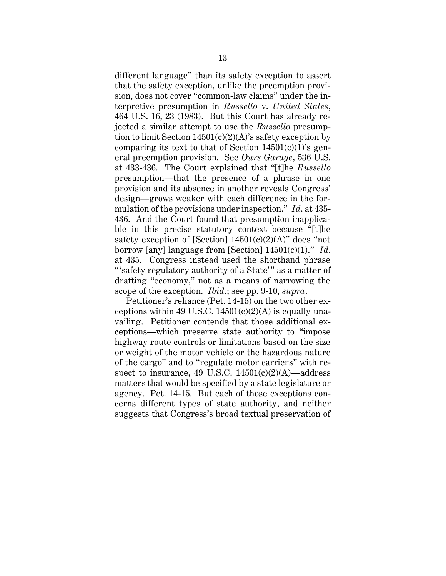different language" than its safety exception to assert that the safety exception, unlike the preemption provision, does not cover "common-law claims" under the interpretive presumption in *Russello* v. *United States*, 464 U.S. 16, 23 (1983). But this Court has already rejected a similar attempt to use the *Russello* presumption to limit Section  $14501(c)(2)(A)$ 's safety exception by comparing its text to that of Section  $14501(c)(1)$ 's general preemption provision. See *Ours Garage*, 536 U.S. at 433-436. The Court explained that "[t]he *Russello* presumption—that the presence of a phrase in one provision and its absence in another reveals Congress' design—grows weaker with each difference in the formulation of the provisions under inspection." *Id*. at 435- 436. And the Court found that presumption inapplicable in this precise statutory context because "[t]he safety exception of [Section]  $14501(c)(2)(A)$ " does "not borrow [any] language from [Section] 14501(c)(1)." *Id*. at 435. Congress instead used the shorthand phrase "'safety regulatory authority of a State'" as a matter of drafting "economy," not as a means of narrowing the scope of the exception. *Ibid*.; see pp. 9-10, *supra*.

Petitioner's reliance (Pet. 14-15) on the two other exceptions within 49 U.S.C.  $14501(c)(2)(A)$  is equally unavailing. Petitioner contends that those additional exceptions—which preserve state authority to "impose highway route controls or limitations based on the size or weight of the motor vehicle or the hazardous nature of the cargo" and to "regulate motor carriers" with respect to insurance, 49 U.S.C.  $14501(c)(2)(A)$ —address matters that would be specified by a state legislature or agency. Pet. 14-15. But each of those exceptions concerns different types of state authority, and neither suggests that Congress's broad textual preservation of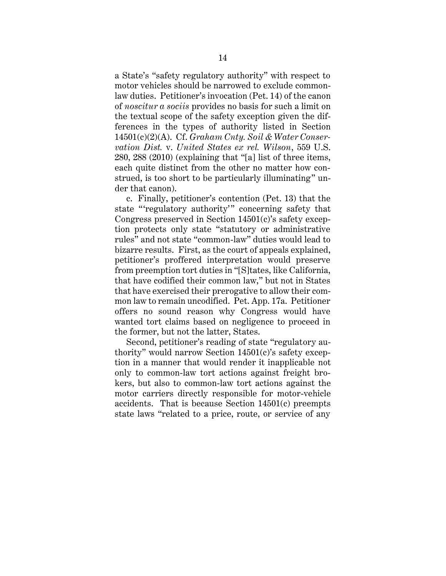a State's "safety regulatory authority" with respect to motor vehicles should be narrowed to exclude commonlaw duties. Petitioner's invocation (Pet. 14) of the canon of *noscitur a sociis* provides no basis for such a limit on the textual scope of the safety exception given the differences in the types of authority listed in Section 14501(c)(2)(A). Cf. *Graham Cnty. Soil & Water Conservation Dist.* v. *United States ex rel. Wilson*, 559 U.S. 280, 288 (2010) (explaining that "[a] list of three items, each quite distinct from the other no matter how construed, is too short to be particularly illuminating" under that canon).

c. Finally, petitioner's contention (Pet. 13) that the state "regulatory authority" concerning safety that Congress preserved in Section 14501(c)'s safety exception protects only state "statutory or administrative rules" and not state "common-law" duties would lead to bizarre results. First, as the court of appeals explained, petitioner's proffered interpretation would preserve from preemption tort duties in "[S]tates, like California, that have codified their common law," but not in States that have exercised their prerogative to allow their common law to remain uncodified. Pet. App. 17a. Petitioner offers no sound reason why Congress would have wanted tort claims based on negligence to proceed in the former, but not the latter, States.

Second, petitioner's reading of state "regulatory authority" would narrow Section 14501(c)'s safety exception in a manner that would render it inapplicable not only to common-law tort actions against freight brokers, but also to common-law tort actions against the motor carriers directly responsible for motor-vehicle accidents. That is because Section 14501(c) preempts state laws "related to a price, route, or service of any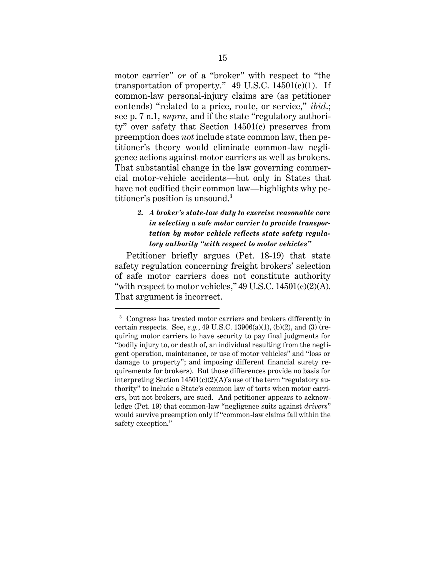motor carrier" *or* of a "broker" with respect to "the transportation of property."  $49$  U.S.C.  $14501(c)(1)$ . If common-law personal-injury claims are (as petitioner contends) "related to a price, route, or service," *ibid*.; see p. 7 n.1, *supra*, and if the state "regulatory authority" over safety that Section 14501(c) preserves from preemption does *not* include state common law, then petitioner's theory would eliminate common-law negligence actions against motor carriers as well as brokers. That substantial change in the law governing commercial motor-vehicle accidents—but only in States that have not codified their common law—highlights why petitioner's position is unsound.<sup>3</sup>

# <span id="page-20-0"></span>*2. A broker's state-law duty to exercise reasonable care in selecting a safe motor carrier to provide transportation by motor vehicle reflects state safety regulatory authority "with respect to motor vehicles"*

Petitioner briefly argues (Pet. 18-19) that state safety regulation concerning freight brokers' selection of safe motor carriers does not constitute authority "with respect to motor vehicles,"  $49 \text{ U.S.C. } 14501 \text{ (c)} \text{ (2)} \text{ (A)}.$ That argument is incorrect.

<sup>&</sup>lt;sup>3</sup> Congress has treated motor carriers and brokers differently in certain respects. See, *e.g.*, 49 U.S.C. 13906(a)(1), (b)(2), and (3) (requiring motor carriers to have security to pay final judgments for "bodily injury to, or death of, an individual resulting from the negligent operation, maintenance, or use of motor vehicles" and "loss or damage to property"; and imposing different financial surety requirements for brokers). But those differences provide no basis for interpreting Section  $14501(c)(2)(A)$ 's use of the term "regulatory authority" to include a State's common law of torts when motor carriers, but not brokers, are sued. And petitioner appears to acknowledge (Pet. 19) that common-law "negligence suits against *drivers*" would survive preemption only if "common-law claims fall within the safety exception."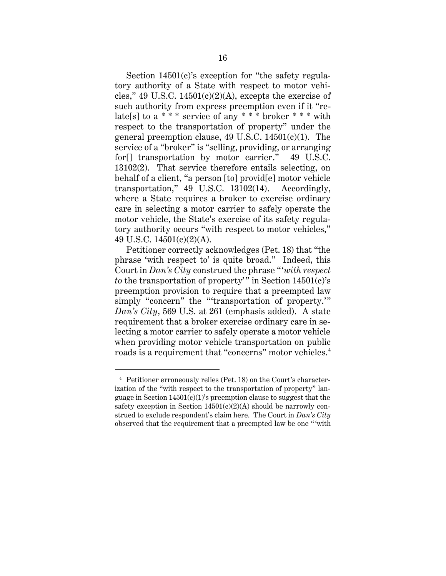Section 14501(c)'s exception for "the safety regulatory authority of a State with respect to motor vehicles," 49 U.S.C.  $14501(c)(2)(A)$ , excepts the exercise of such authority from express preemption even if it "relate[s] to a \* \* \* service of any \* \* \* broker \* \* \* with respect to the transportation of property" under the general preemption clause, 49 U.S.C. 14501(c)(1). The service of a "broker" is "selling, providing, or arranging for<sup>[]</sup> transportation by motor carrier." 49 U.S.C. 13102(2). That service therefore entails selecting, on behalf of a client, "a person [to] provid[e] motor vehicle transportation," 49 U.S.C. 13102(14). Accordingly, where a State requires a broker to exercise ordinary care in selecting a motor carrier to safely operate the motor vehicle, the State's exercise of its safety regulatory authority occurs "with respect to motor vehicles," 49 U.S.C. 14501(c)(2)(A).

Petitioner correctly acknowledges (Pet. 18) that "the phrase 'with respect to' is quite broad." Indeed, this Court in *Dan's City* construed the phrase "'*with respect to* the transportation of property'" in Section  $14501(c)$ 's preemption provision to require that a preempted law simply "concern" the "'transportation of property.'" *Dan's City*, 569 U.S. at 261 (emphasis added). A state requirement that a broker exercise ordinary care in selecting a motor carrier to safely operate a motor vehicle when providing motor vehicle transportation on public roads is a requirement that "concerns" motor vehicles. $^4$ 

<sup>4</sup> Petitioner erroneously relies (Pet. 18) on the Court's characterization of the "with respect to the transportation of property" language in Section  $14501(c)(1)$ 's preemption clause to suggest that the safety exception in Section  $14501(c)(2)(A)$  should be narrowly construed to exclude respondent's claim here. The Court in *Dan's City* observed that the requirement that a preempted law be one " 'with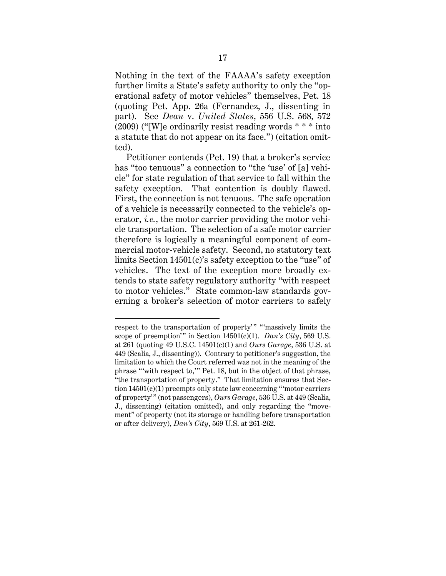Nothing in the text of the FAAAA's safety exception further limits a State's safety authority to only the "operational safety of motor vehicles" themselves, Pet. 18 (quoting Pet. App. 26a (Fernandez, J., dissenting in part). See *Dean* v. *United States*, 556 U.S. 568, 572  $(2009)$  ("[W]e ordinarily resist reading words  $***$  into a statute that do not appear on its face.") (citation omitted).

Petitioner contends (Pet. 19) that a broker's service has "too tenuous" a connection to "the 'use' of [a] vehicle" for state regulation of that service to fall within the safety exception. That contention is doubly flawed. First, the connection is not tenuous. The safe operation of a vehicle is necessarily connected to the vehicle's operator, *i.e.*, the motor carrier providing the motor vehicle transportation. The selection of a safe motor carrier therefore is logically a meaningful component of commercial motor-vehicle safety. Second, no statutory text limits Section 14501(c)'s safety exception to the "use" of vehicles. The text of the exception more broadly extends to state safety regulatory authority "with respect to motor vehicles." State common-law standards governing a broker's selection of motor carriers to safely

respect to the transportation of property' " "'massively limits the scope of preemption'" in Section  $14501(c)(1)$ . *Dan's City*, 569 U.S. at 261 (quoting 49 U.S.C. 14501(c)(1) and *Ours Garage*, 536 U.S. at 449 (Scalia, J., dissenting)). Contrary to petitioner's suggestion, the limitation to which the Court referred was not in the meaning of the phrase "'with respect to,'" Pet. 18, but in the object of that phrase, "the transportation of property." That limitation ensures that Section  $14501(c)(1)$  preempts only state law concerning "'motor carriers" of property'" (not passengers), *Ours Garage*, 536 U.S. at 449 (Scalia, J., dissenting) (citation omitted), and only regarding the "movement" of property (not its storage or handling before transportation or after delivery), *Dan's City*, 569 U.S. at 261-262.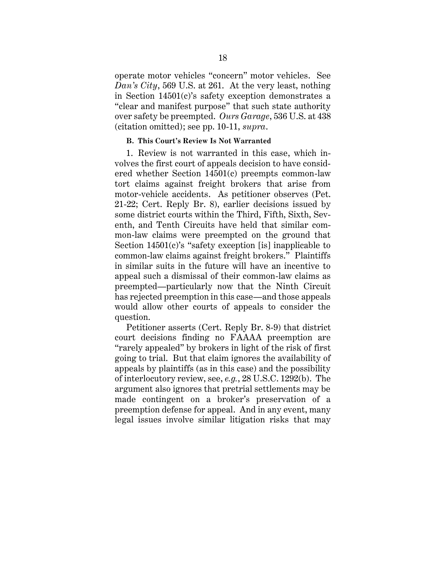operate motor vehicles "concern" motor vehicles. See *Dan's City*, 569 U.S. at 261. At the very least, nothing in Section 14501(c)'s safety exception demonstrates a "clear and manifest purpose" that such state authority over safety be preempted. *Ours Garage*, 536 U.S. at 438 (citation omitted); see pp. 10-11, *supra*.

#### **B. This Court's Review Is Not Warranted**

1. Review is not warranted in this case, which involves the first court of appeals decision to have considered whether Section 14501(c) preempts common-law tort claims against freight brokers that arise from motor-vehicle accidents. As petitioner observes (Pet. 21-22; Cert. Reply Br. 8), earlier decisions issued by some district courts within the Third, Fifth, Sixth, Seventh, and Tenth Circuits have held that similar common-law claims were preempted on the ground that Section 14501(c)'s "safety exception [is] inapplicable to common-law claims against freight brokers." Plaintiffs in similar suits in the future will have an incentive to appeal such a dismissal of their common-law claims as preempted—particularly now that the Ninth Circuit has rejected preemption in this case—and those appeals would allow other courts of appeals to consider the question.

Petitioner asserts (Cert. Reply Br. 8-9) that district court decisions finding no FAAAA preemption are "rarely appealed" by brokers in light of the risk of first going to trial. But that claim ignores the availability of appeals by plaintiffs (as in this case) and the possibility of interlocutory review, see, *e.g.*, 28 U.S.C. 1292(b). The argument also ignores that pretrial settlements may be made contingent on a broker's preservation of a preemption defense for appeal. And in any event, many legal issues involve similar litigation risks that may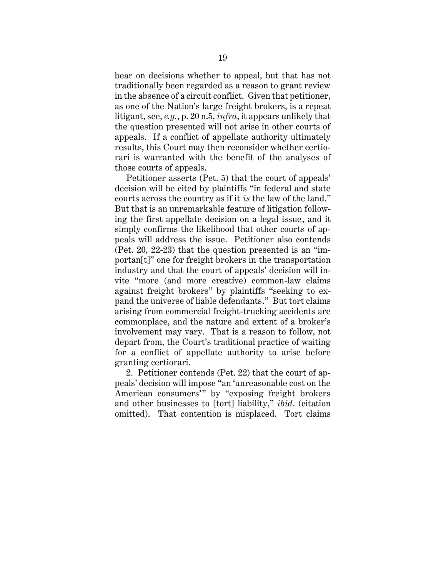bear on decisions whether to appeal, but that has not traditionally been regarded as a reason to grant review in the absence of a circuit conflict. Given that petitioner, as one of the Nation's large freight brokers, is a repeat litigant, see, *e.g.*, p. 20 n.5, *infra*, it appears unlikely that the question presented will not arise in other courts of appeals. If a conflict of appellate authority ultimately results, this Court may then reconsider whether certiorari is warranted with the benefit of the analyses of those courts of appeals.

Petitioner asserts (Pet. 5) that the court of appeals' decision will be cited by plaintiffs "in federal and state courts across the country as if it *is* the law of the land." But that is an unremarkable feature of litigation following the first appellate decision on a legal issue, and it simply confirms the likelihood that other courts of appeals will address the issue. Petitioner also contends (Pet. 20, 22-23) that the question presented is an "importan[t]" one for freight brokers in the transportation industry and that the court of appeals' decision will invite "more (and more creative) common-law claims against freight brokers" by plaintiffs "seeking to expand the universe of liable defendants." But tort claims arising from commercial freight-trucking accidents are commonplace, and the nature and extent of a broker's involvement may vary. That is a reason to follow, not depart from, the Court's traditional practice of waiting for a conflict of appellate authority to arise before granting certiorari.

2. Petitioner contends (Pet. 22) that the court of appeals' decision will impose "an 'unreasonable cost on the American consumers'" by "exposing freight brokers and other businesses to [tort] liability," *ibid*. (citation omitted). That contention is misplaced. Tort claims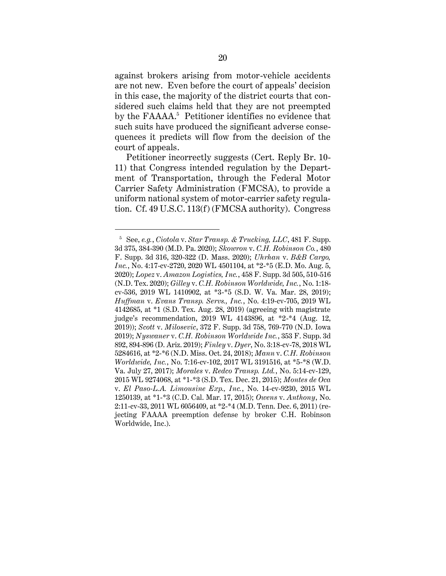against brokers arising from motor-vehicle accidents are not new. Even before the court of appeals' decision in this case, the majority of the district courts that considered such claims held that they are not preempted by the FAAAA. 5 Petitioner identifies no evidence that such suits have produced the significant adverse consequences it predicts will flow from the decision of the court of appeals.

Petitioner incorrectly suggests (Cert. Reply Br. 10- 11) that Congress intended regulation by the Department of Transportation, through the Federal Motor Carrier Safety Administration (FMCSA), to provide a uniform national system of motor-carrier safety regulation. Cf. 49 U.S.C. 113(f) (FMCSA authority). Congress

<sup>5</sup> See, *e.g.*, *Ciotola* v. *Star Transp. & Trucking, LLC*, 481 F. Supp. 3d 375, 384-390 (M.D. Pa. 2020); *Skowron* v. *C.H. Robinson Co.*, 480 F. Supp. 3d 316, 320-322 (D. Mass. 2020); *Uhrhan* v. *B&B Cargo, Inc.*, No. 4:17-cv-2720, 2020 WL 4501104, at \*2-\*5 (E.D. Mo. Aug. 5, 2020); *Lopez* v. *Amazon Logistics, Inc.*, 458 F. Supp. 3d 505, 510-516 (N.D. Tex. 2020); *Gilley* v. *C.H. Robinson Worldwide, Inc.*, No. 1:18 cv-536, 2019 WL 1410902, at \*3-\*5 (S.D. W. Va. Mar. 28, 2019); *Huffman* v. *Evans Transp. Servs., Inc.*, No. 4:19-cv-705, 2019 WL 4142685, at \*1 (S.D. Tex. Aug. 28, 2019) (agreeing with magistrate judge's recommendation, 2019 WL 4143896, at \*2-\*4 (Aug. 12, 2019)); *Scott* v. *Milosevic*, 372 F. Supp. 3d 758, 769-770 (N.D. Iowa 2019); *Nyswaner* v. *C.H. Robinson Worldwide Inc.*, 353 F. Supp. 3d 892, 894-896 (D. Ariz. 2019); *Finley* v. *Dyer*, No. 3:18-cv-78, 2018 WL 5284616, at \*2-\*6 (N.D. Miss. Oct. 24, 2018); *Mann* v. *C.H. Robinson Worldwide, Inc.*, No. 7:16-cv-102, 2017 WL 3191516, at \*5-\*8 (W.D. Va. July 27, 2017); *Morales* v. *Redco Transp. Ltd.*, No. 5:14-cv-129, 2015 WL 9274068, at \*1-\*3 (S.D. Tex. Dec. 21, 2015); *Montes de Oca* v. *El Paso-L.A. Limousine Exp., Inc.*, No. 14-cv-9230, 2015 WL 1250139, at \*1-\*3 (C.D. Cal. Mar. 17, 2015); *Owens* v. *Anthony*, No. 2:11-cv-33, 2011 WL 6056409, at \*2-\*4 (M.D. Tenn. Dec. 6, 2011) (rejecting FAAAA preemption defense by broker C.H. Robinson Worldwide, Inc.).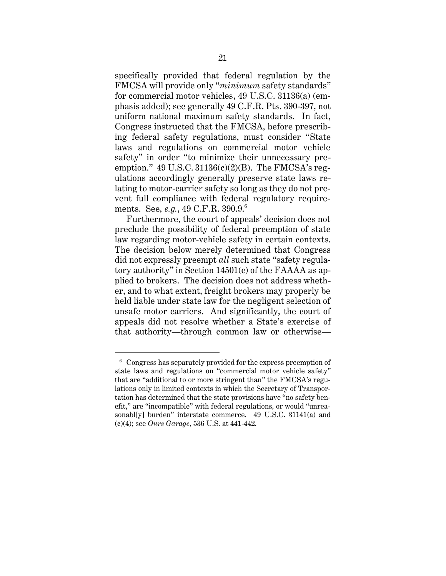specifically provided that federal regulation by the FMCSA will provide only "*minimum* safety standards" for commercial motor vehicles, 49 U.S.C. 31136(a) (emphasis added); see generally 49 C.F.R. Pts. 390-397, not uniform national maximum safety standards. In fact, Congress instructed that the FMCSA, before prescribing federal safety regulations, must consider "State laws and regulations on commercial motor vehicle safety" in order "to minimize their unnecessary preemption."  $49$  U.S.C.  $31136(c)(2)(B)$ . The FMCSA's regulations accordingly generally preserve state laws relating to motor-carrier safety so long as they do not prevent full compliance with federal regulatory requirements. See, *e.g.*, 49 C.F.R. 390.9.<sup>6</sup>

Furthermore, the court of appeals' decision does not preclude the possibility of federal preemption of state law regarding motor-vehicle safety in certain contexts. The decision below merely determined that Congress did not expressly preempt *all* such state "safety regulatory authority" in Section 14501(c) of the FAAAA as applied to brokers. The decision does not address whether, and to what extent, freight brokers may properly be held liable under state law for the negligent selection of unsafe motor carriers. And significantly, the court of appeals did not resolve whether a State's exercise of that authority—through common law or otherwise—

<sup>6</sup> Congress has separately provided for the express preemption of state laws and regulations on "commercial motor vehicle safety" that are "additional to or more stringent than" the FMCSA's regulations only in limited contexts in which the Secretary of Transportation has determined that the state provisions have "no safety benefit," are "incompatible" with federal regulations, or would "unreasonabl[y] burden" interstate commerce. 49 U.S.C. 31141(a) and (c)(4); see *Ours Garage*, 536 U.S. at 441-442.